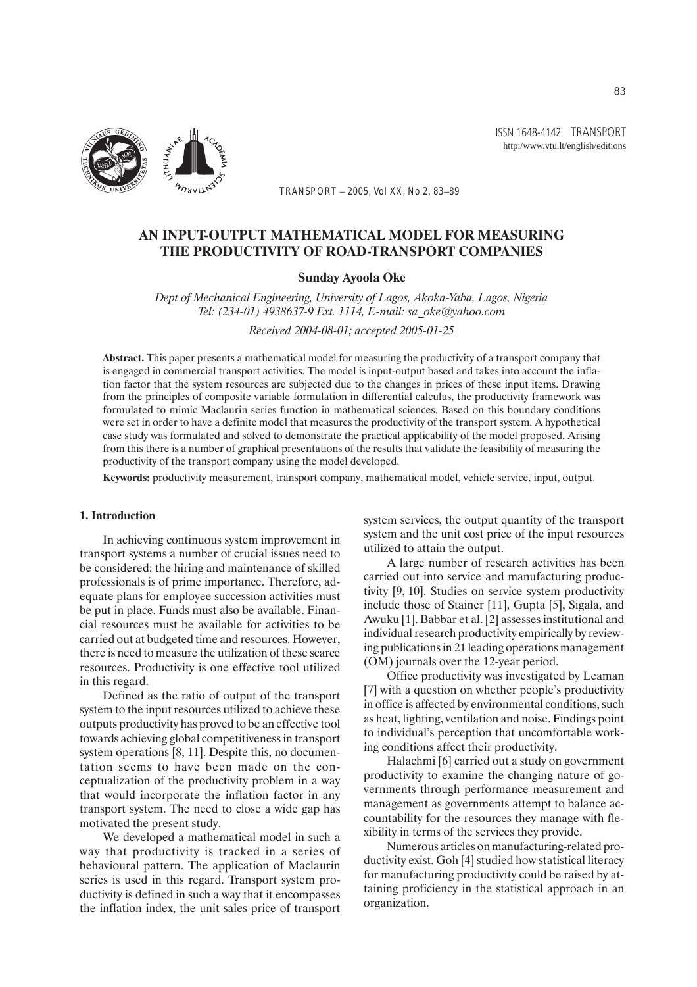

ISSN 1648-4142 TRANSPORT http:/www.vtu.lt/english/editions

*TRANSPORT – 2005, Vol XX, No 2, 83–89*

# AN INPUT-OUTPUT MATHEMATICAL MODEL FOR MEASURING THE PRODUCTIVITY OF ROAD-TRANSPORT COMPANIES

### Sunday Ayoola Oke

*Dept of Mechanical Engineering, University of Lagos, Akoka-Yaba, Lagos, Nigeria Tel: (234-01) 4938637-9 Ext. 1114, E-mail: sa\_oke@yahoo.com*

*Received 2004-08-01; accepted 2005-01-25*

Abstract. This paper presents a mathematical model for measuring the productivity of a transport company that is engaged in commercial transport activities. The model is input-output based and takes into account the inflation factor that the system resources are subjected due to the changes in prices of these input items. Drawing from the principles of composite variable formulation in differential calculus, the productivity framework was formulated to mimic Maclaurin series function in mathematical sciences. Based on this boundary conditions were set in order to have a definite model that measures the productivity of the transport system. A hypothetical case study was formulated and solved to demonstrate the practical applicability of the model proposed. Arising from this there is a number of graphical presentations of the results that validate the feasibility of measuring the productivity of the transport company using the model developed.

Keywords: productivity measurement, transport company, mathematical model, vehicle service, input, output.

### 1. Introduction

In achieving continuous system improvement in transport systems a number of crucial issues need to be considered: the hiring and maintenance of skilled professionals is of prime importance. Therefore, adequate plans for employee succession activities must be put in place. Funds must also be available. Financial resources must be available for activities to be carried out at budgeted time and resources. However, there is need to measure the utilization of these scarce resources. Productivity is one effective tool utilized in this regard.

Defined as the ratio of output of the transport system to the input resources utilized to achieve these outputs productivity has proved to be an effective tool towards achieving global competitiveness in transport system operations [8, 11]. Despite this, no documentation seems to have been made on the conceptualization of the productivity problem in a way that would incorporate the inflation factor in any transport system. The need to close a wide gap has motivated the present study.

We developed a mathematical model in such a way that productivity is tracked in a series of behavioural pattern. The application of Maclaurin series is used in this regard. Transport system productivity is defined in such a way that it encompasses the inflation index, the unit sales price of transport system services, the output quantity of the transport system and the unit cost price of the input resources utilized to attain the output.

A large number of research activities has been carried out into service and manufacturing productivity [9, 10]. Studies on service system productivity include those of Stainer [11], Gupta [5], Sigala, and Awuku [1]. Babbar et al. [2] assesses institutional and individual research productivity empirically by reviewing publications in 21 leading operations management (OM) journals over the 12-year period.

Office productivity was investigated by Leaman [7] with a question on whether people's productivity in office is affected by environmental conditions, such as heat, lighting, ventilation and noise. Findings point to individual's perception that uncomfortable working conditions affect their productivity.

Halachmi [6] carried out a study on government productivity to examine the changing nature of governments through performance measurement and management as governments attempt to balance accountability for the resources they manage with flexibility in terms of the services they provide.

Numerous articles on manufacturing-related productivity exist. Goh [4] studied how statistical literacy for manufacturing productivity could be raised by attaining proficiency in the statistical approach in an organization.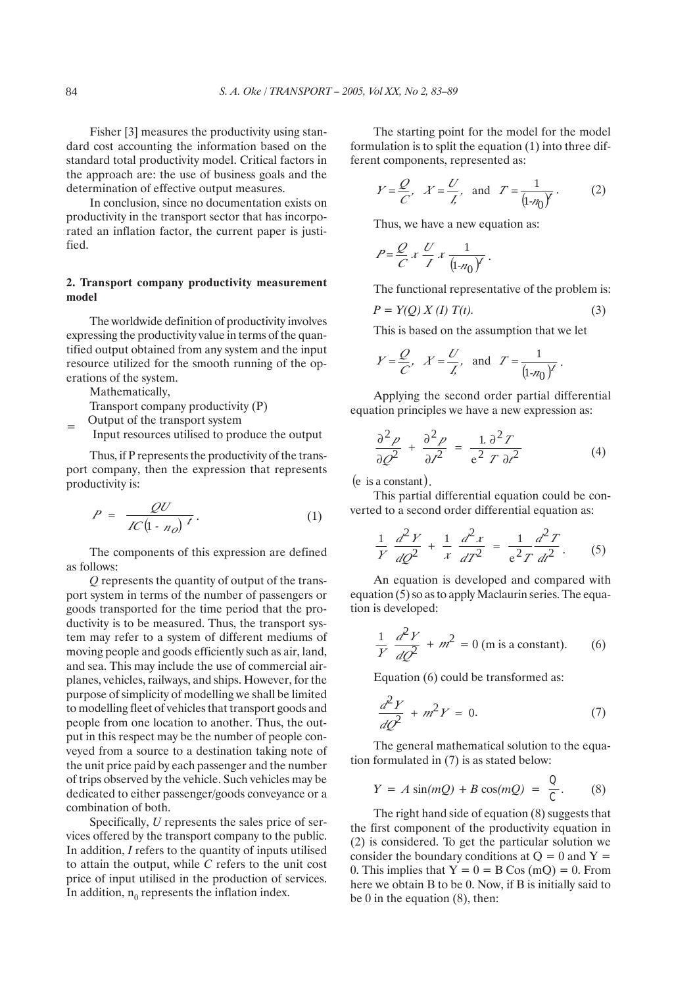Fisher [3] measures the productivity using standard cost accounting the information based on the standard total productivity model. Critical factors in the approach are: the use of business goals and the determination of effective output measures.

In conclusion, since no documentation exists on productivity in the transport sector that has incorporated an inflation factor, the current paper is justified.

## 2. Transport company productivity measurement model

The worldwide definition of productivity involves expressing the productivity value in terms of the quantified output obtained from any system and the input resource utilized for the smooth running of the operations of the system.

Mathematically,

Transport company productivity (P)

 $=$  Output of the transport system

Input resources utilised to produce the output

Thus, if P represents the productivity of the transport company, then the expression that represents productivity is:

$$
P = \frac{QU}{IC(1 - n_0)^t}.
$$
 (1)

The components of this expression are defined as follows:

*Q* represents the quantity of output of the transport system in terms of the number of passengers or goods transported for the time period that the productivity is to be measured. Thus, the transport system may refer to a system of different mediums of moving people and goods efficiently such as air, land, and sea. This may include the use of commercial airplanes, vehicles, railways, and ships. However, for the purpose of simplicity of modelling we shall be limited to modelling fleet of vehicles that transport goods and people from one location to another. Thus, the output in this respect may be the number of people conveyed from a source to a destination taking note of the unit price paid by each passenger and the number of trips observed by the vehicle. Such vehicles may be dedicated to either passenger/goods conveyance or a combination of both.

Specifically, *U* represents the sales price of services offered by the transport company to the public. In addition, *I* refers to the quantity of inputs utilised to attain the output, while *C* refers to the unit cost price of input utilised in the production of services. In addition,  $n_0$  represents the inflation index.

The starting point for the model for the model formulation is to split the equation (1) into three different components, represented as:

$$
Y = \frac{Q}{C'}, \quad X = \frac{U}{L'}, \quad \text{and} \quad T = \frac{1}{(1 - n_0)^2}.
$$
 (2)

Thus, we have a new equation as:

$$
P = \frac{Q}{C} x \frac{U}{I} x \frac{1}{(\ln n_0)^t}.
$$

The functional representative of the problem is:

$$
P = Y(Q) X(I) T(t).
$$
 (3)

This is based on the assumption that we let

$$
Y = \frac{Q}{C'}, \quad X = \frac{U}{L'}, \quad \text{and} \quad T = \frac{1}{(1 - n_0)^{\gamma}}.
$$

Applying the second order partial differential equation principles we have a new expression as:

$$
\frac{\partial^2 p}{\partial \mathcal{Q}^2} + \frac{\partial^2 p}{\partial \mathcal{I}^2} = \frac{1}{e^2} \frac{\partial^2 T}{T \partial \mathcal{I}^2}
$$
(4)

 $(e$  is a constant).

This partial differential equation could be converted to a second order differential equation as:

$$
\frac{1}{Y}\frac{d^2Y}{dQ^2} + \frac{1}{x}\frac{d^2x}{dT^2} = \frac{1}{e^2T}\frac{d^2T}{dt^2}.
$$
 (5)

An equation is developed and compared with equation (5) so as to apply Maclaurin series. The equation is developed:

$$
\frac{1}{Y}\frac{d^2Y}{dQ^2} + m^2 = 0 \text{ (m is a constant).}
$$
 (6)

Equation (6) could be transformed as:

$$
\frac{d^2Y}{dQ^2} + m^2Y = 0.
$$
 (7)

The general mathematical solution to the equation formulated in (7) is as stated below:

$$
Y = A \sin(mQ) + B \cos(mQ) = \frac{Q}{C}.
$$
 (8)

The right hand side of equation (8) suggests that the first component of the productivity equation in (2) is considered. To get the particular solution we consider the boundary conditions at  $Q = 0$  and  $Y =$ 0. This implies that  $Y = 0 = B \cos(mQ) = 0$ . From here we obtain B to be 0. Now, if B is initially said to be 0 in the equation (8), then: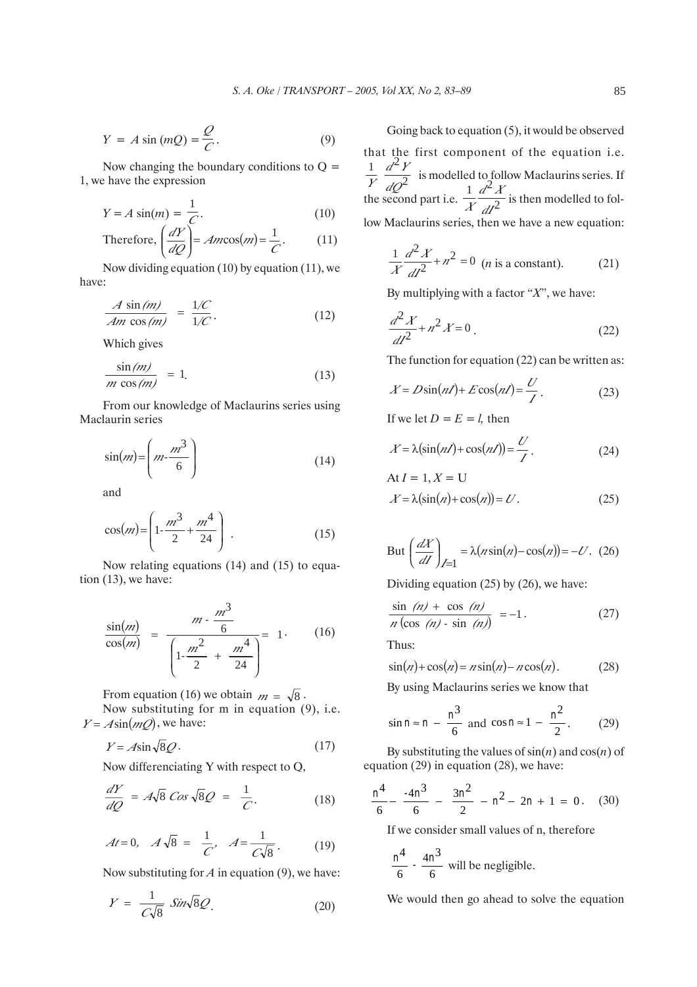$$
Y = A \sin(mQ) = \frac{Q}{C}.
$$
 (9)

Now changing the boundary conditions to  $Q =$ 1, we have the expression

$$
Y = A \sin(m) = \frac{1}{C}.
$$
 (10)

Therefore, 
$$
\left(\frac{dY}{dQ}\right) = Am\cos(m) = \frac{1}{C}
$$
. (11)

Now dividing equation (10) by equation (11), we have:

$$
\frac{A\sin(m)}{Am\cos(m)} = \frac{1/C}{1/C}.
$$
\n(12)

Which gives

$$
\frac{\sin(m)}{m\cos(m)} = 1.
$$
 (13)

From our knowledge of Maclaurins series using Maclaurin series

$$
\sin(m) = \left(m - \frac{m^3}{6}\right) \tag{14}
$$

and

$$
\cos(m) = \left(1 - \frac{m^3}{2} + \frac{m^4}{24}\right) \,. \tag{15}
$$

Now relating equations (14) and (15) to equation (13), we have:

$$
\frac{\sin(m)}{\cos(m)} = \frac{m - \frac{m^3}{6}}{\left(1 - \frac{m^2}{2} + \frac{m^4}{24}\right)} = 1.
$$
 (16)

From equation (16) we obtain  $m = \sqrt{8}$ . Now substituting for m in equation (9), i.e.  $Y = A\sin(mQ)$ , we have:

$$
Y = A\sin\sqrt{8Q}.
$$
 (17)

Now differenciating Y with respect to Q,

$$
\frac{dY}{dQ} = A\sqrt{8} \cos \sqrt{8}Q = \frac{1}{C}.
$$
 (18)

$$
At = 0, \quad A\sqrt{8} = \frac{1}{C'}, \quad A = \frac{1}{C\sqrt{8}}.
$$
 (19)

Now substituting for *A* in equation (9), we have:

$$
Y = \frac{1}{C\sqrt{8}} \sin\sqrt{8}Q. \tag{20}
$$

Going back to equation (5), it would be observed that the first component of the equation i.e. *dQ d Y*  $Y$   $d\Omega^2$  $\frac{1}{K} \frac{d^2 Y}{2}$  is modelled to follow Maclaurins series. If the second part i.e.  $\frac{1}{X} \frac{d^{2}y}{dt^{2}}$  $1 \, d^2$ *dI*  $\frac{1}{X} \frac{d^2 X}{dt^2}$  is then modelled to follow Maclaurins series, then we have a new equation:

$$
\frac{1}{X}\frac{d^2X}{dI^2} + n^2 = 0
$$
 (*n* is a constant). (21)

By multiplying with a factor "*X*", we have:

$$
\frac{d^2X}{dt^2} + n^2X = 0.
$$
 (22)

The function for equation (22) can be written as:

$$
X = D\sin(nI) + E\cos(nI) = \frac{U}{I}.
$$
 (23)

If we let  $D = E = l$ , then

$$
X = \lambda \left( \sin(n\ell) + \cos(n\ell) \right) = \frac{U}{\ell}.
$$
 (24)

$$
\begin{aligned} \text{At } I &= 1, X = \text{U} \\ X &= \lambda \left( \sin(n) + \cos(n) \right) = U. \end{aligned} \tag{25}
$$

But 
$$
\left(\frac{dX}{dI}\right)_{I=1} = \lambda (n\sin(n) - \cos(n)) = -U.
$$
 (26)

Dividing equation (25) by (26), we have:

$$
\frac{\sin (n) + \cos (n)}{n (\cos (n) - \sin (n))} = -1. \tag{27}
$$

Thus:

$$
\sin(n) + \cos(n) = n\sin(n) - n\cos(n). \tag{28}
$$

By using Maclaurins series we know that

$$
\sin n \approx n - \frac{n^3}{6} \text{ and } \cos n \approx 1 - \frac{n^2}{2}.
$$
 (29)

By substituting the values of  $sin(n)$  and  $cos(n)$  of equation (29) in equation (28), we have:

$$
\frac{n^4}{6} - \frac{-4n^3}{6} - \frac{3n^2}{2} - n^2 - 2n + 1 = 0. \quad (30)
$$

If we consider small values of n, therefore

$$
\frac{n^4}{6} \cdot \frac{4n^3}{6}
$$
 will be negligible.

We would then go ahead to solve the equation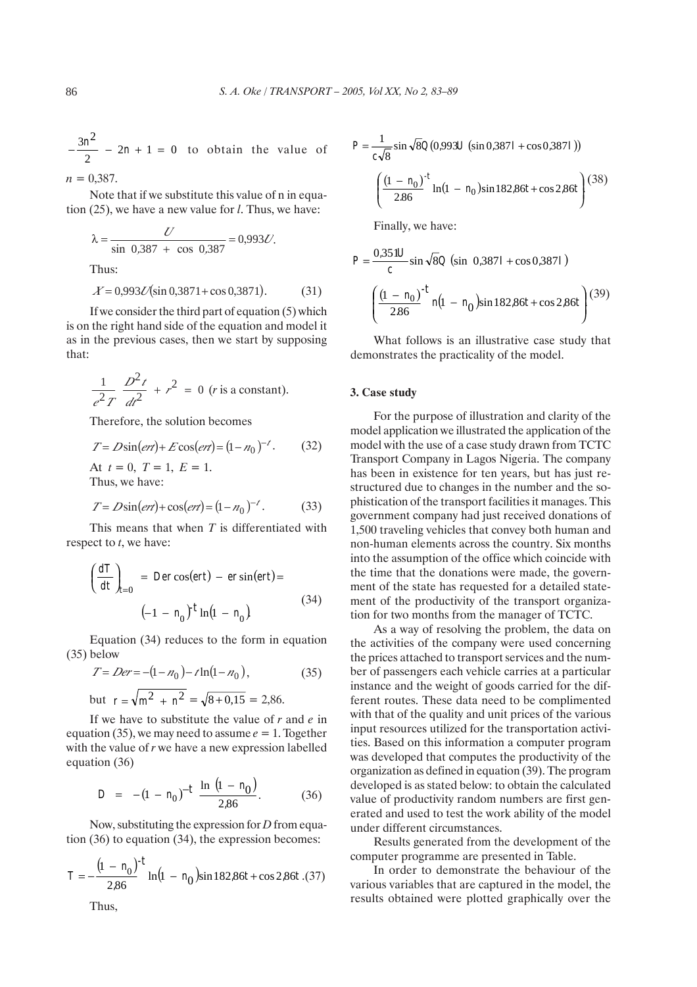$-\frac{3n^2}{2}$  – 2n + 1 = 0 to obtain the value of

 $n = 0.387$ .

Note that if we substitute this value of n in equation (25), we have a new value for *l*. Thus, we have:

$$
\lambda = \frac{U}{\sin 0.387 + \cos 0.387} = 0.993U.
$$
Thus:

$$
X = 0.993U(\sin 0.3871 + \cos 0.3871). \tag{31}
$$

If we consider the third part of equation (5) which is on the right hand side of the equation and model it as in the previous cases, then we start by supposing that:

$$
\frac{1}{e^2T}\frac{D^2t}{dt^2} + r^2 = 0 \text{ (r is a constant)}.
$$

Therefore, the solution becomes

$$
T = D\sin(\text{er}t) + E\cos(\text{er}t) = (1 - n_0)^{-t}.
$$
 (32)

At  $t = 0$ ,  $T = 1$ ,  $E = 1$ . Thus, we have:

$$
T = D\sin(e\tau t) + \cos(e\tau t) = (1 - n_0)^{-1}.
$$
 (33)

This means that when *T* is differentiated with respect to *t*, we have:

$$
\left(\frac{dT}{dt}\right)_{t=0} = Der\cos(ert) - er\sin(ert) =
$$
\n
$$
(-1 - n_0)^t \ln(1 - n_0)
$$
\n(34)

Equation (34) reduces to the form in equation (35) below

$$
T = Der = -(1 - n_0) - t\ln(1 - n_0),
$$
\n(35)

but 
$$
r = \sqrt{m^2 + n^2} = \sqrt{8 + 0.15} = 2.86.
$$

If we have to substitute the value of *r* and *e* in equation (35), we may need to assume  $e = 1$ . Together with the value of *r* we have a new expression labelled equation (36)

$$
D = -(1 - n_0)^{-t} \frac{\ln (1 - n_0)}{2.86}.
$$
 (36)

Now, substituting the expression for *D* from equation (36) to equation (34), the expression becomes:

$$
T = -\frac{(1 - n_0)}{2.86} t \ln(1 - n_0) \sin 182.86t + \cos 2.86t
$$
.(37)

Thus,

$$
P = \frac{1}{c\sqrt{8}} \sin \sqrt{8} Q(0.993U \left(\sin 0.387I + \cos 0.387I\right))
$$

$$
\left(\frac{(1 - n_0)}{2.86} \ln(1 - n_0) \sin 182.86t + \cos 2.86t\right)
$$
(38)

Finally, we have:

$$
P = \frac{0,351U}{c} \sin \sqrt{8}Q \text{ (sin } 0,387I + \cos 0,387I)
$$

$$
\left(\frac{(1 - n_0)}{2.86} \right)^{-t} n(1 - n_0) \sin 182,86t + \cos 2,86t \text{ (39)}
$$

What follows is an illustrative case study that demonstrates the practicality of the model.

### 3. Case study

For the purpose of illustration and clarity of the model application we illustrated the application of the model with the use of a case study drawn from TCTC Transport Company in Lagos Nigeria. The company has been in existence for ten years, but has just restructured due to changes in the number and the sophistication of the transport facilities it manages. This government company had just received donations of 1,500 traveling vehicles that convey both human and non-human elements across the country. Six months into the assumption of the office which coincide with the time that the donations were made, the government of the state has requested for a detailed statement of the productivity of the transport organization for two months from the manager of TCTC.

As a way of resolving the problem, the data on the activities of the company were used concerning the prices attached to transport services and the number of passengers each vehicle carries at a particular instance and the weight of goods carried for the different routes. These data need to be complimented with that of the quality and unit prices of the various input resources utilized for the transportation activities. Based on this information a computer program was developed that computes the productivity of the organization as defined in equation (39). The program developed is as stated below: to obtain the calculated value of productivity random numbers are first generated and used to test the work ability of the model under different circumstances.

Results generated from the development of the computer programme are presented in Table.

In order to demonstrate the behaviour of the various variables that are captured in the model, the results obtained were plotted graphically over the

86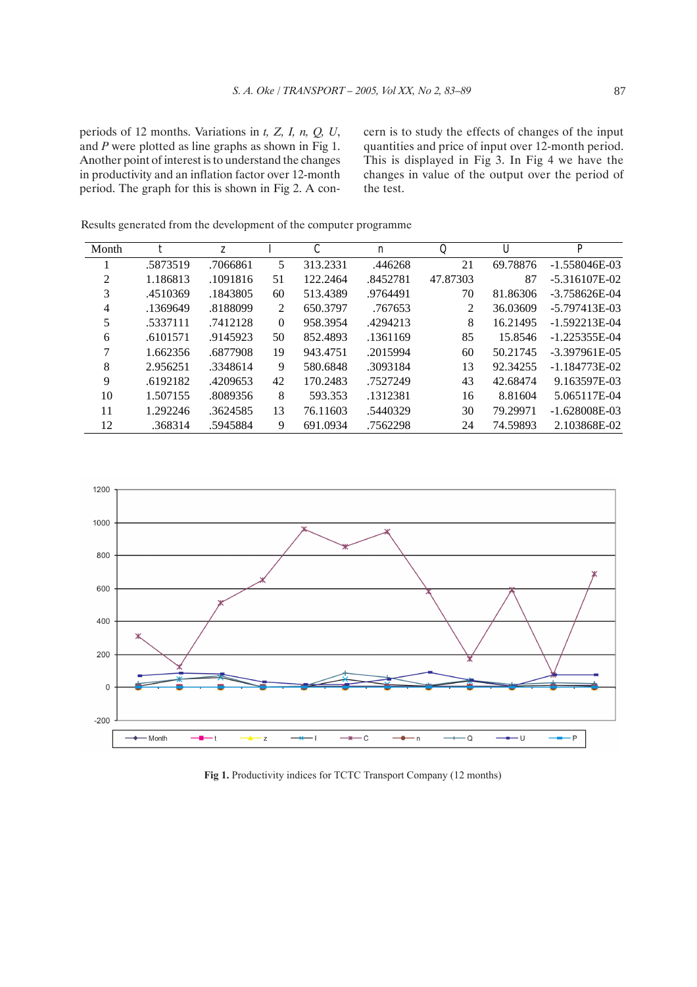periods of 12 months. Variations in *t, Z, I, n, Q, U*, and *P* were plotted as line graphs as shown in Fig 1. Another point of interest is to understand the changes in productivity and an inflation factor over 12-month period. The graph for this is shown in Fig 2. A concern is to study the effects of changes of the input quantities and price of input over 12-month period. This is displayed in Fig 3. In Fig 4 we have the changes in value of the output over the period of the test.

| Month          | t        | Z.       |          | C        | $\boldsymbol{n}$ | $\mathcal{Q}$ | U        | $\boldsymbol{P}$ |
|----------------|----------|----------|----------|----------|------------------|---------------|----------|------------------|
|                | .5873519 | .7066861 | 5        | 313.2331 | .446268          | 21            | 69.78876 | $-1.558046E-03$  |
| $\mathfrak{D}$ | 1.186813 | .1091816 | 51       | 122.2464 | .8452781         | 47.87303      | 87       | $-5.316107E-02$  |
| 3              | .4510369 | .1843805 | 60       | 513.4389 | .9764491         | 70            | 81.86306 | $-3.758626E-04$  |
| 4              | .1369649 | .8188099 | 2        | 650.3797 | .767653          | 2             | 36.03609 | $-5.797413E-03$  |
| 5              | .5337111 | .7412128 | $\Omega$ | 958.3954 | .4294213         | 8             | 16.21495 | $-1.592213E-04$  |
| 6              | .6101571 | .9145923 | 50       | 852.4893 | .1361169         | 85            | 15.8546  | $-1.225355E-04$  |
|                | 1.662356 | .6877908 | 19       | 943.4751 | .2015994         | 60            | 50.21745 | $-3.397961E-05$  |
| 8              | 2.956251 | .3348614 | 9        | 580.6848 | .3093184         | 13            | 92.34255 | $-1.184773E-02$  |
| 9              | .6192182 | .4209653 | 42       | 170.2483 | .7527249         | 43            | 42.68474 | 9.163597E-03     |
| 10             | 1.507155 | .8089356 | 8        | 593.353  | .1312381         | 16            | 8.81604  | 5.065117E-04     |
| 11             | 1.292246 | .3624585 | 13       | 76.11603 | .5440329         | 30            | 79.29971 | $-1.628008E-03$  |
| 12             | .368314  | .5945884 | 9        | 691.0934 | .7562298         | 24            | 74.59893 | 2.103868E-02     |

Results generated from the development of the computer programme



**Fig 1.** Productivity indices for TCTC Transport Company (12 months)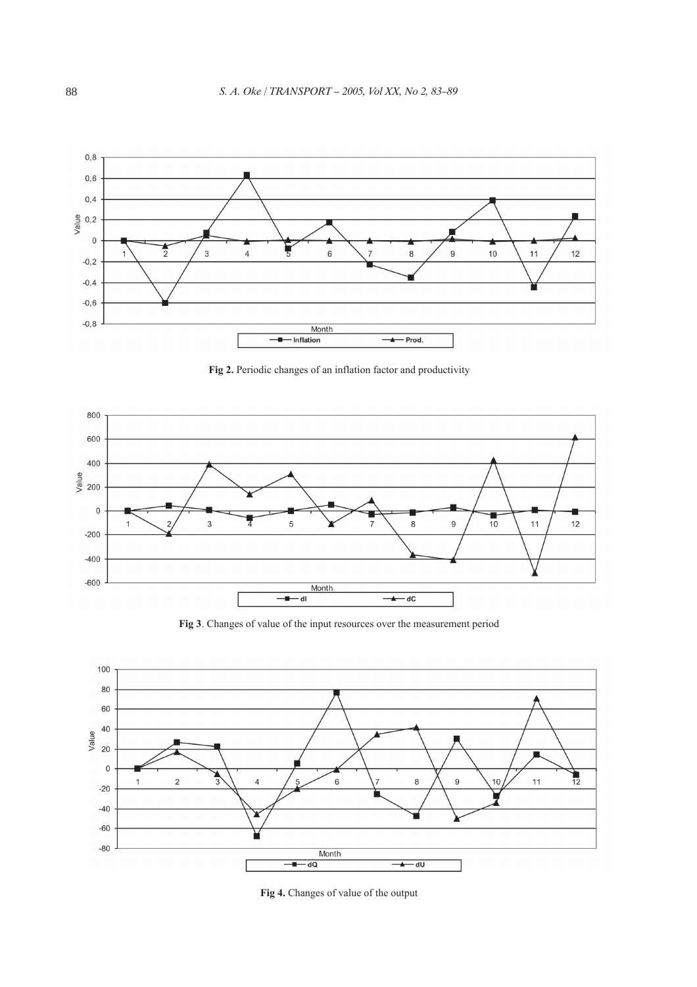![](_page_5_Figure_1.jpeg)

**Fig 2.** Periodic changes of an inflation factor and productivity

![](_page_5_Figure_3.jpeg)

![](_page_5_Figure_4.jpeg)

![](_page_5_Figure_5.jpeg)

**Fig 4.** Changes of value of the output